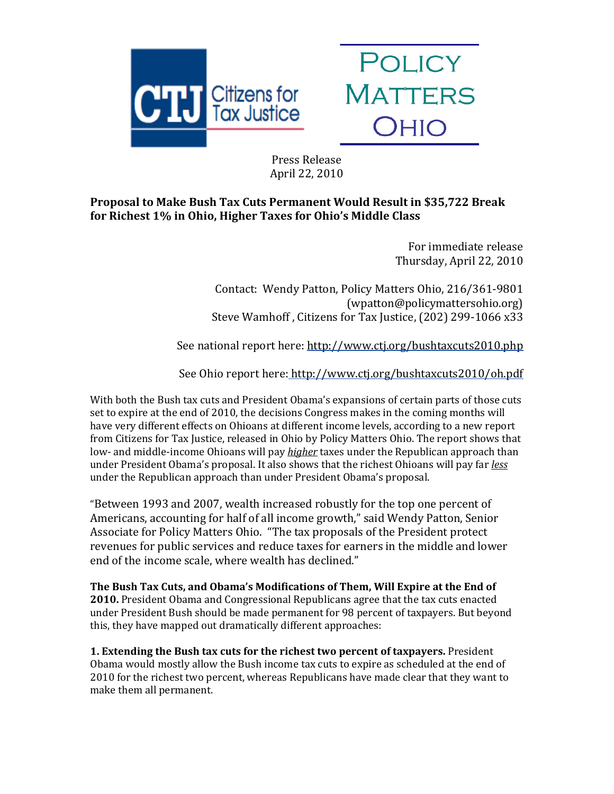



 Press Release April 22, 2010

## **Proposal to Make Bush Tax Cuts Permanent Would Result in \$35,722 Break for Richest 1% in Ohio, Higher Taxes for Ohio's Middle Class**

For immediate release Thursday, April 22, 2010

 Contact: Wendy Patton, Policy Matters Ohio, 216/361‐9801 (wpatton@policymattersohio.org) Steve Wamhoff, Citizens for Tax Justice, (202) 299-1066 x33

See national report here: http://www.ctj.org/bushtaxcuts2010.php

See Ohio report here: http://www.ctj.org/bushtaxcuts2010/oh.pdf

With both the Bush tax cuts and President Obama's expansions of certain parts of those cuts set to expire at the end of 2010, the decisions Congress makes in the coming months will have very different effects on Ohioans at different income levels, according to a new report from Citizens for Tax Justice, released in Ohio by Policy Matters Ohio. The report shows that low‐ and middle‐income Ohioans will pay *higher* taxes under the Republican approach than under President Obama's proposal. It also shows that the richest Ohioans will pay far *less* under the Republican approach than under President Obama's proposal.

"Between 1993 and 2007, wealth increased robustly for the top one percent of Americans, accounting for half of all income growth," said Wendy Patton, Senior Associate for Policy Matters Ohio. "The tax proposals of the President protect revenues for public services and reduce taxes for earners in the middle and lower end of the income scale, where wealth has declined."

**The Bush Tax Cuts, and Obama's Modifications of Them, Will Expire at the End of 2010.** President Obama and Congressional Republicans agree that the tax cuts enacted nder President Bush should be made permanent for 98 percent of taxpayers. But beyond u his, they have mapped out dramatically different approaches: t

**1. Extending the Bush tax cuts for the richest two percent of taxpayers.** President Obama would mostly allow the Bush income tax cuts to expire as scheduled at the end of 2010 for the richest two percent, whereas Republicans have made clear that they want to make them all permanent.